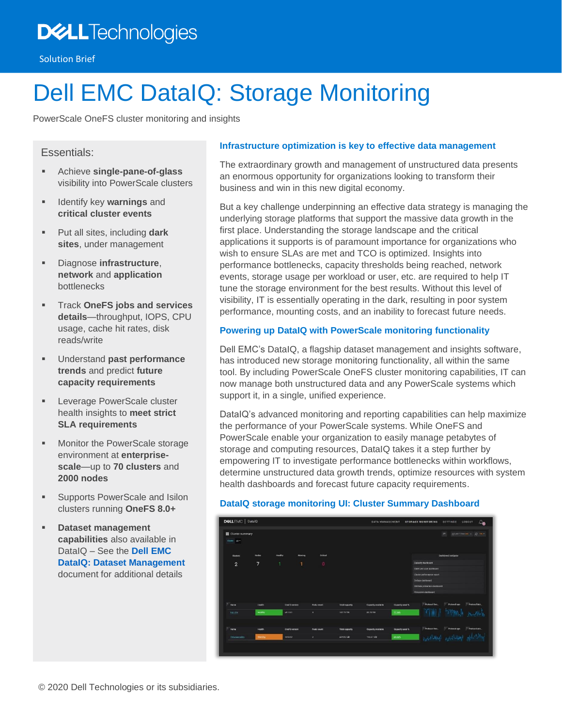# **DELL**Technologies

# Dell EMC DataIQ: Storage Monitoring

PowerScale OneFS cluster monitoring and insights

# Essentials:

- Achieve **single-pane-of-glass** visibility into PowerScale clusters
- Identify key **warnings** and **critical cluster events**
- Put all sites, including **dark sites**, under management
- Diagnose **infrastructure**, **network** and **application** bottlenecks
- Track **OneFS jobs and services details**—throughput, IOPS, CPU usage, cache hit rates, disk reads/write
- Understand **past performance trends** and predict **future capacity requirements**
- **EXEC** Leverage PowerScale cluster health insights to **meet strict SLA requirements**
- Monitor the PowerScale storage environment at **enterprisescale**—up to **70 clusters** and **2000 nodes**
- Supports PowerScale and Isilon clusters running **OneFS 8.0+**
- **Dataset management capabilities** also available in DataIQ – See the **[Dell EMC](https://www.dellemc.com/resources/en-us/asset/offering-overview-documents/products/storage/h18227-dell-emc-dataiq-solution-brief.pdf)  [DataIQ: Dataset Management](https://www.dellemc.com/resources/en-us/asset/offering-overview-documents/products/storage/h18227-dell-emc-dataiq-solution-brief.pdf)** document for additional details

## **Infrastructure optimization is key to effective data management**

The extraordinary growth and management of unstructured data presents an enormous opportunity for organizations looking to transform their business and win in this new digital economy.

But a key challenge underpinning an effective data strategy is managing the underlying storage platforms that support the massive data growth in the first place. Understanding the storage landscape and the critical applications it supports is of paramount importance for organizations who wish to ensure SLAs are met and TCO is optimized. Insights into performance bottlenecks, capacity thresholds being reached, network events, storage usage per workload or user, etc. are required to help IT tune the storage environment for the best results. Without this level of visibility, IT is essentially operating in the dark, resulting in poor system performance, mounting costs, and an inability to forecast future needs.

### **Powering up DataIQ with PowerScale monitoring functionality**

Dell EMC's DataIQ, a flagship dataset management and insights software, has introduced new storage monitoring functionality, all within the same tool. By including PowerScale OneFS cluster monitoring capabilities, IT can now manage both unstructured data and any PowerScale systems which support it, in a single, unified experience.

DataIQ's advanced monitoring and reporting capabilities can help maximize the performance of your PowerScale systems. While OneFS and PowerScale enable your organization to easily manage petabytes of storage and computing resources, DataIQ takes it a step further by empowering IT to investigate performance bottlenecks within workflows, determine unstructured data growth trends, optimize resources with system health dashboards and forecast future capacity requirements.

#### **DataIQ storage monitoring UI: Cluster Summary Dashboard**